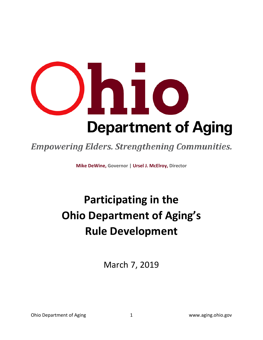

## **Empowering Elders. Strengthening Communities.**

**Mike DeWine, Governor | Ursel J. McElroy, Director**

# **Participating in the Ohio Department of Aging's Rule Development**

March 7, 2019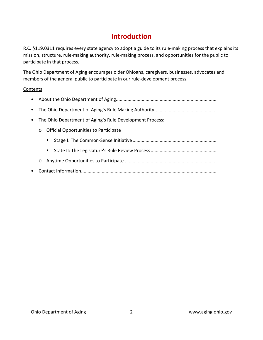### **Introduction**

R.C. §119.0311 requires every state agency to adopt a guide to its rule-making process that explains its mission, structure, rule-making authority, rule-making process, and opportunities for the public to participate in that process.

The Ohio Department of Aging encourages older Ohioans, caregivers, businesses, advocates and members of the general public to participate in our rule-development process.

#### Contents

- About the Ohio Department of Aging..............................................................................
- The Ohio Department of Aging's Rule Making Authority................................................
- The Ohio Department of Aging's Rule Development Process:
	- o Official Opportunities to Participate
		- Stage I: The Common-Sense Initiative.................................................................
		- State II: The Legislature's Rule Review Process...................................................
	- o Anytime Opportunities to Participate .......................................................................
- Contact Information.........................................................................................................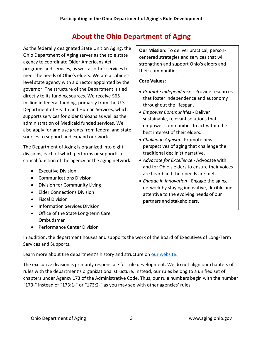### **About the Ohio Department of Aging**

As the federally designated State Unit on Aging, the Ohio Department of Aging serves as the sole state agency to coordinate Older Americans Act programs and services, as well as other services to meet the needs of Ohio's elders. We are a cabinetlevel state agency with a director appointed by the governor. The structure of the Department is tied directly to its funding sources. We receive \$65 million in federal funding, primarily from the U.S. Department of Health and Human Services, which supports services for older Ohioans as well as the administration of Medicaid funded services. We also apply for and use grants from federal and state sources to support and expand our work.

The Department of Aging is organized into eight divisions, each of which performs or supports a critical function of the agency or the aging network:

- Executive Division
- Communications Division
- Division for Community Living
- Elder Connections Division
- Fiscal Division
- Information Services Division
- Office of the State Long-term Care Ombudsman
- Performance Center Division

**Our Mission:** To deliver practical, personcentered strategies and services that will strengthen and support Ohio's elders and their communities.

#### **Core Values:**

- *Promote Independence* Provide resources that foster independence and autonomy throughout the lifespan.
- *Empower Communities* Deliver sustainable, relevant solutions that empower communities to act within the best interest of their elders.
- *Challenge Ageism* Promote new perspectives of aging that challenge the traditional declinist narrative.
- *Advocate for Excellence* Advocate with and for Ohio's elders to ensure their voices are heard and their needs are met.
- *Engage in Innovation* Engage the aging network by staying innovative, flexible and attentive to the evolving needs of our partners and stakeholders.

In addition, the department houses and supports the work of the Board of Executives of Long-Term Services and Supports.

Learn more about the department's history and structure on [our website.](http://www.aging.ohio.gov/)

The executive division is primarily responsible for rule development. We do not align our chapters of rules with the department's organizational structure. Instead, our rules belong to a unified set of chapters under Agency 173 of the Administrative Code. Thus, our rule numbers begin with the number "173-" instead of "173:1-" or "173:2-" as you may see with other agencies' rules.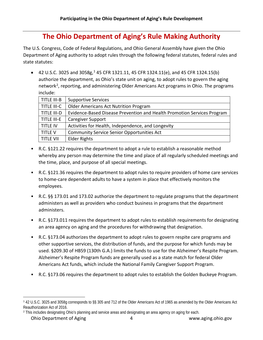### **The Ohio Department of Aging's Rule Making Authority**

The U.S. Congress, Code of Federal Regulations, and Ohio General Assembly have given the Ohio Department of Aging authority to adopt rules through the following federal statutes, federal rules and state statutes:

• 42 U.S.C. 3025 and 3058g,<sup>[1](#page-3-0)</sup> 45 CFR 1321.11, 45 CFR 1324.11(e), and 45 CFR 1324.15(b) authorize the department, as Ohio's state unit on aging, to adopt rules to govern the aging network<sup>[2](#page-3-1)</sup>, reporting, and administering Older Americans Act programs in Ohio. The programs include:

| TITLE III-B      | <b>Supportive Services</b>                                              |
|------------------|-------------------------------------------------------------------------|
| TITLE III-C      | <b>Older Americans Act Nutrition Program</b>                            |
| TITLE III-D      | Evidence-Based Disease Prevention and Health Promotion Services Program |
| TITLE III-E      | <b>Caregiver Support</b>                                                |
| <b>TITLE IV</b>  | Activities for Health, Independence, and Longevity                      |
| <b>TITLE V</b>   | <b>Community Service Senior Opportunities Act</b>                       |
| <b>TITLE VII</b> | <b>Elder Rights</b>                                                     |

- R.C. §121.22 requires the department to adopt a rule to establish a reasonable method whereby any person may determine the time and place of all regularly scheduled meetings and the time, place, and purpose of all special meetings.
- R.C. §121.36 requires the department to adopt rules to require providers of home care services to home-care dependent adults to have a system in place that effectively monitors the employees.
- R.C. §§ 173.01 and 173.02 authorize the department to regulate programs that the department administers as well as providers who conduct business in programs that the department administers.
- R.C. §173.011 requires the department to adopt rules to establish requirements for designating an area agency on aging and the procedures for withdrawing that designation.
- R.C. §173.04 authorizes the department to adopt rules to govern respite care programs and other supportive services, the distribution of funds, and the purpose for which funds may be used. §209.30 of HB59 (130th G.A.) limits the funds to use for the Alzheimer's Respite Program. Alzheimer's Respite Program funds are generally used as a state match for federal Older Americans Act funds, which include the National Family Caregiver Support Program.
- R.C. §173.06 requires the department to adopt rules to establish the Golden Buckeye Program.

<span id="page-3-0"></span> <sup>1</sup> 42 U.S.C. 3025 and 3058g corresponds to §§ 305 and 712 of the Older Americans Act of 1965 as amended by the Older Americans Act Reauthorization Act of 2016.

<span id="page-3-1"></span><sup>2</sup> This includes designating Ohio's planning and service areas and designating an area agency on aging for each.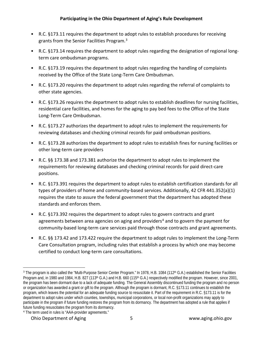- R.C. §173.11 requires the department to adopt rules to establish procedures for receiving grants from the Senior Facilities Program.[3](#page-4-0)
- R.C. §173.14 requires the department to adopt rules regarding the designation of regional longterm care ombudsman programs.
- R.C. §173.19 requires the department to adopt rules regarding the handling of complaints received by the Office of the State Long-Term Care Ombudsman.
- R.C. §173.20 requires the department to adopt rules regarding the referral of complaints to other state agencies.
- R.C. §173.26 requires the department to adopt rules to establish deadlines for nursing facilities, residential care facilities, and homes for the aging to pay bed fees to the Office of the State Long-Term Care Ombudsman.
- R.C. §173.27 authorizes the department to adopt rules to implement the requirements for reviewing databases and checking criminal records for paid ombudsman positions.
- R.C. §173.28 authorizes the department to adopt rules to establish fines for nursing facilities or other long-term care providers
- R.C. §§ 173.38 and 173.381 authorize the department to adopt rules to implement the requirements for reviewing databases and checking criminal records for paid direct-care positions.
- R.C. §173.391 requires the department to adopt rules to establish certification standards for all types of providers of home and community-based services. Additionally, 42 CFR 441.352(a)(1) requires the state to assure the federal government that the department has adopted these standards and enforces them.
- R.C. §173.392 requires the department to adopt rules to govern contracts and grant agreements between area agencies on aging and providers<sup>[4](#page-4-1)</sup> and to govern the payment for community-based long-term care services paid through those contracts and grant agreements.
- R.C. §§ 173.42 and 173.422 require the department to adopt rules to implement the Long-Term Care Consultation program, including rules that establish a process by which one may become certified to conduct long-term care consultations.

#### Ohio Department of Aging 5 www.aging.ohio.gov

<span id="page-4-0"></span><sup>&</sup>lt;sup>3</sup> The program is also called the "Multi-Purpose Senior Center Program." In 1978, H.B. 1084 (112<sup>th</sup> G.A.) established the Senior Facilities Program and, in 1980 and 1984, H.B. 827 (113<sup>th</sup> G.A.) and H.B. 660 (115<sup>th</sup> G.A.) respectively modified the program. However, since 2001, the program has been dormant due to a lack of adequate funding. The General Assembly discontinued funding the program and no person or organization has awarded a grant or gift to the program. Although the program is dormant, R.C. §173.11 continues to establish the program, which leaves the potential for an adequate funding source to resuscitate it. Part of the requirement in R.C. §173.11 is for the department to adopt rules under which counties, townships, municipal corporations, or local non-profit organizations may apply to participate in the program if future funding restores the program from its dormancy. The department has adopted a rule that applies if future funding resuscitates the program from its dormancy.

<span id="page-4-1"></span><sup>4</sup> The term used in rules is "AAA-provider agreements."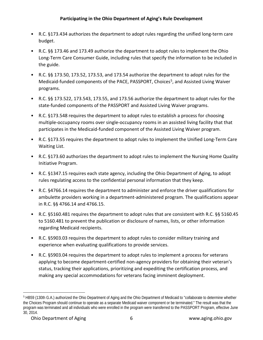- R.C. §173.434 authorizes the department to adopt rules regarding the unified long-term care budget.
- R.C. §§ 173.46 and 173.49 authorize the department to adopt rules to implement the Ohio Long-Term Care Consumer Guide, including rules that specify the information to be included in the guide.
- R.C. §§ 173.50, 173.52, 173.53, and 173.54 authorize the department to adopt rules for the Medicaid-funded components of the PACE, PASSPORT, Choices<sup>[5](#page-5-0)</sup>, and Assisted Living Waiver programs.
- R.C. §§ 173.522, 173.543, 173.55, and 173.56 authorize the department to adopt rules for the state-funded components of the PASSPORT and Assisted Living Waiver programs.
- R.C. §173.548 requires the department to adopt rules to establish a process for choosing multiple-occupancy rooms over single-occupancy rooms in an assisted living facility that that participates in the Medicaid-funded component of the Assisted Living Waiver program.
- R.C. §173.55 requires the department to adopt rules to implement the Unified Long-Term Care Waiting List.
- R.C. §173.60 authorizes the department to adopt rules to implement the Nursing Home Quality Initiative Program.
- R.C. §1347.15 requires each state agency, including the Ohio Department of Aging, to adopt rules regulating access to the confidential personal information that they keep.
- R.C. §4766.14 requires the department to administer and enforce the driver qualifications for ambulette providers working in a department-administered program. The qualifications appear in R.C. §§ 4766.14 and 4766.15.
- R.C. §5160.481 requires the department to adopt rules that are consistent with R.C. §§ 5160.45 to 5160.481 to prevent the publication or disclosure of names, lists, or other information regarding Medicaid recipients.
- R.C. §5903.03 requires the department to adopt rules to consider military training and experience when evaluating qualifications to provide services.
- R.C. §5903.04 requires the department to adopt rules to implement a process for veterans applying to become department-certified non-agency providers for obtaining their veteran's status, tracking their applications, prioritizing and expediting the certification process, and making any special accommodations for veterans facing imminent deployment.

<span id="page-5-0"></span> <sup>5</sup> HB59 (130th G.A.) authorized the Ohio Department of Aging and the Ohio Department of Medicaid to "collaborate to determine whether the Choices Program should continue to operate as a separate Medicaid waiver component or be terminated." The result was that the program was terminated and all individuals who were enrolled in the program were transferred to the PASSPORT Program, effective June 30, 2014.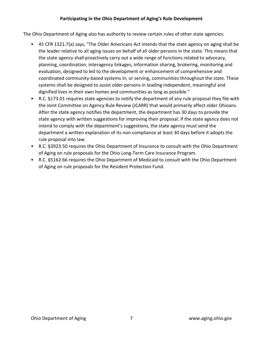#### **Participating in the Ohio Department of Aging's Rule Development**

The Ohio Department of Aging also has authority to review certain rules of other state agencies:

- 45 CFR 1321.7(a) says, "The Older Americans Act intends that the state agency on aging shall be the leader relative to all aging issues on behalf of all older persons in the state. This means that the state agency shall proactively carry out a wide range of functions related to advocacy, planning, coordination, interagency linkages, information sharing, brokering, monitoring and evaluation, designed to led to the development or enhancement of comprehensive and coordinated community-based systems in, or serving, communities throughout the state. These systems shall be designed to assist older persons in leading independent, meaningful and dignified lives in their own homes and communities as long as possible."
- R.C. §173.01 requires state agencies to notify the department of any rule proposal they file with the Joint Committee on Agency Rule Review (JCARR) that would primarily affect older Ohioans. After the state agency notifies the department, the department has 30 days to provide the state agency with written suggestions for improving their proposal. If the state agency does not intend to comply with the department's suggestions, the state agency must send the department a written explanation of its non-compliance at least 30 days before it adopts the rule proposal into law.
- R.C. §3923.50 requires the Ohio Department of Insurance to consult with the Ohio Department of Aging on rule proposals for the Ohio Long-Term Care Insurance Program.
- R.C. §5162.66 requires the Ohio Department of Medicaid to consult with the Ohio Department of Aging on rule proposals for the Resident Protection Fund.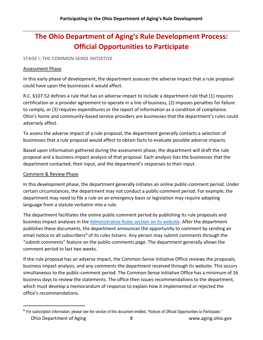### **The Ohio Department of Aging's Rule Development Process: Official Opportunities to Participate**

#### **STAGE I: THE COMMON-SENSE INITIATIVE**

#### Assessment Phase

In this early phase of development, the department assesses the adverse impact that a rule proposal could have upon the businesses it would affect.

R.C. §107.52 defines a rule that has an adverse impact to include a department rule that (1) requires certification or a provider agreement to operate in a line of business, (2) imposes penalties for failure to comply, or (3) requires expenditures or the report of information as a condition of compliance. Ohio's home and community-based service providers are businesses that the department's rules could adversely affect.

To assess the adverse impact of a rule proposal, the department generally contacts a selection of businesses that a rule proposal would affect to obtain facts to evaluate possible adverse impacts.

Based upon information gathered during the assessment phase, the department will draft the rule proposal and a business-impact analysis of that proposal. Each analysis lists the businesses that the department contacted, their input, and the department's responses to their input.

#### Comment & Review Phase

In this development phase, the department generally initiates an online public-comment period. Under certain circumstances, the department may not conduct a public-comment period. For example, the department may need to file a rule on an emergency basis or legislation may require adopting language from a statute verbatim into a rule.

The department facilitates the online public-comment period by publishing its rule proposals and business impact analyses in the [Administrative Rules section on its website.](http://aging.ohio.gov/Rules) After the department publishes these documents, the department announces the opportunity to comment by sending an email notice to all subscribers<sup>[6](#page-7-0)</sup> of its rules listserv. Any person may submit comments through the "submit comments" feature on the public-comments page. The department generally allows the comment period to last two weeks.

If the rule proposal has an adverse impact, the Common-Sense Initiative Office reviews the proposals, business impact analysis, and any comments the department received through its website. This occurs simultaneous to the public-comment period. The Common-Sense Initiative Office has a minimum of 16 business days to review the statements. The office then issues recommendations to the department, which must develop a memorandum of response to explain how it implemented or rejected the office's recommendations.

<span id="page-7-0"></span>Ohio Department of Aging 8 and 2008 and 2008 and 2008 and 2008 www.aging.ohio.gov 6 For subscription information, please see the section of this document entitled, "Notices of Official Opportunities to Participate."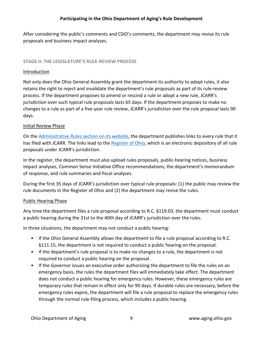After considering the public's comments and CSIO's comments, the department may revise its rule proposals and business impact analyses.

#### **STAGE II: THE LEGISLATURE'S RULE-REVIEW PROCESS**

#### Introduction

Not only does the Ohio General Assembly grant the department its authority to adopt rules, it also retains the right to reject and invalidate the department's rule proposals as part of its rule-review process. If the department proposes to amend or rescind a rule or adopt a new rule, JCARR's jurisdiction over such typical rule proposals lasts 65 days. If the department proposes to make no changes to a rule as part of a five-year rule review, JCARR's jurisdiction over the rule proposal lasts 90 days.

#### Initial Review Phase

On the [Administrative Rules section on its website,](http://aging.ohio.gov/Rules) the department publishes links to every rule that it has filed with JCARR. The links lead to the [Register of Ohio,](http://www.registerofohio.state.oh.us/) which is an electronic depository of all rule proposals under JCARR's jurisdiction.

In the register, the department must also upload rules proposals, public-hearing notices, business impact analyses, Common Sense Initiative Office recommendations, the department's memorandum of response, and rule summaries and fiscal analyses.

During the first 35 days of JCARR's jurisdiction over typical rule proposals: (1) the public may review the rule documents in the Register of Ohio and (2) the department may revise the rules.

#### Public Hearing Phase

Any time the department files a rule proposal according to R.C. §119.03, the department must conduct a public hearing during the 31st to the 40th day of JCARR's jurisdiction over the rules.

In three situations, the department may not conduct a public hearing:

- If the Ohio General Assembly allows the department to file a rule proposal according to R.C. §111.15, the department is not required to conduct a public hearing on the proposal.
- If the department's rule proposal is to make no changes to a rule, the department is not required to conduct a public hearing on the proposal.
- If the Governor issues an executive order authorizing the department to file the rules on an emergency basis, the rules the department files will immediately take effect. The department does not conduct a public hearing for emergency rules. However, these emergency rules are temporary rules that remain in effect only for 90 days. If durable rules are necessary, before the emergency rules expire, the department will file a rule proposal to replace the emergency rules through the normal rule-filing process, which includes a public hearing.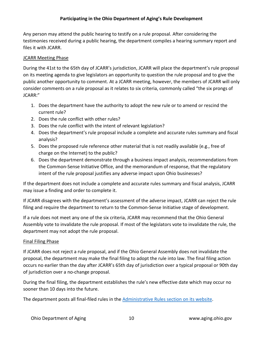#### **Participating in the Ohio Department of Aging's Rule Development**

Any person may attend the public hearing to testify on a rule proposal. After considering the testimonies received during a public hearing, the department compiles a hearing summary report and files it with JCARR.

#### JCARR Meeting Phase

During the 41st to the 65th day of JCARR's jurisdiction, JCARR will place the department's rule proposal on its meeting agenda to give legislators an opportunity to question the rule proposal and to give the public another opportunity to comment. At a JCARR meeting, however, the members of JCARR will only consider comments on a rule proposal as it relates to six criteria, commonly called "the six prongs of JCARR:"

- 1. Does the department have the authority to adopt the new rule or to amend or rescind the current rule?
- 2. Does the rule conflict with other rules?
- 3. Does the rule conflict with the intent of relevant legislation?
- 4. Does the department's rule proposal include a complete and accurate rules summary and fiscal analysis?
- 5. Does the proposed rule reference other material that is not readily available (e.g., free of charge on the Internet) to the public?
- 6. Does the department demonstrate through a business impact analysis, recommendations from the Common-Sense Initiative Office, and the memorandum of response, that the regulatory intent of the rule proposal justifies any adverse impact upon Ohio businesses?

If the department does not include a complete and accurate rules summary and fiscal analysis, JCARR may issue a finding and order to complete it.

If JCARR disagrees with the department's assessment of the adverse impact, JCARR can reject the rule filing and require the department to return to the Common-Sense Initiative stage of development.

If a rule does not meet any one of the six criteria, JCARR may recommend that the Ohio General Assembly vote to invalidate the rule proposal. If most of the legislators vote to invalidate the rule, the department may not adopt the rule proposal.

#### Final Filing Phase

If JCARR does not reject a rule proposal, and if the Ohio General Assembly does not invalidate the proposal, the department may make the final filing to adopt the rule into law. The final filing action occurs no earlier than the day after JCARR's 65th day of jurisdiction over a typical proposal or 90th day of jurisdiction over a no-change proposal.

During the final filing, the department establishes the rule's new effective date which may occur no sooner than 10 days into the future.

The department posts all final-filed rules in the [Administrative Rules section on its website.](http://aging.ohio.gov/Rules)